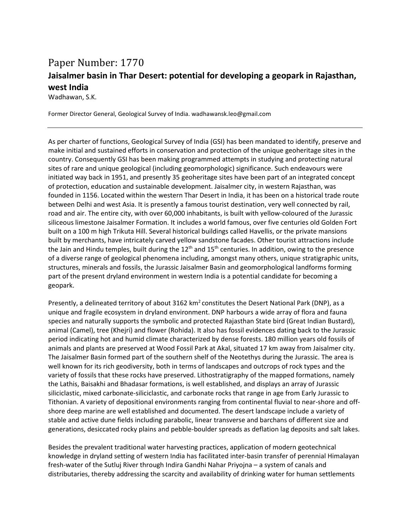## Paper Number: 1770 **Jaisalmer basin in Thar Desert: potential for developing a geopark in Rajasthan, west India**

Wadhawan, S.K.

Former Director General, Geological Survey of India. wadhawansk.leo@gmail.com

As per charter of functions, Geological Survey of India (GSI) has been mandated to identify, preserve and make initial and sustained efforts in conservation and protection of the unique geoheritage sites in the country. Consequently GSI has been making programmed attempts in studying and protecting natural sites of rare and unique geological (including geomorphologic) significance. Such endeavours were initiated way back in 1951, and presently 35 geoheritage sites have been part of an integrated concept of protection, education and sustainable development. Jaisalmer city, in western Rajasthan, was founded in 1156. Located within the western Thar Desert in India, it has been on a historical trade route between Delhi and west Asia. It is presently a famous tourist destination, very well connected by rail, road and air. The entire city, with over 60,000 inhabitants, is built with yellow-coloured of the Jurassic siliceous limestone Jaisalmer Formation. It includes a world famous, over five centuries old Golden Fort built on a 100 m high Trikuta Hill. Several historical buildings called Havellis, or the private mansions built by merchants, have intricately carved yellow sandstone facades. Other tourist attractions include the Jain and Hindu temples, built during the  $12<sup>th</sup>$  and  $15<sup>th</sup>$  centuries. In addition, owing to the presence of a diverse range of geological phenomena including, amongst many others, unique stratigraphic units, structures, minerals and fossils, the Jurassic Jaisalmer Basin and geomorphological landforms forming part of the present dryland environment in western India is a potential candidate for becoming a geopark.

Presently, a delineated territory of about 3162  $km^2$  constitutes the Desert National Park (DNP), as a unique and fragile ecosystem in dryland environment. DNP harbours a wide array of flora and fauna species and naturally supports the symbolic and protected Rajasthan State bird (Great Indian Bustard), animal (Camel), tree (Khejri) and flower (Rohida). It also has fossil evidences dating back to the Jurassic period indicating hot and humid climate characterized by dense forests. 180 million years old fossils of animals and plants are preserved at Wood Fossil Park at Akal, situated 17 km away from Jaisalmer city. The Jaisalmer Basin formed part of the southern shelf of the Neotethys during the Jurassic. The area is well known for its rich geodiversity, both in terms of landscapes and outcrops of rock types and the variety of fossils that these rocks have preserved. Lithostratigraphy of the mapped formations, namely the Lathis, Baisakhi and Bhadasar formations, is well established, and displays an array of Jurassic siliciclastic, mixed carbonate-siliciclastic, and carbonate rocks that range in age from Early Jurassic to Tithonian. A variety of depositional environments ranging from continental fluvial to near-shore and offshore deep marine are well established and documented. The desert landscape include a variety of stable and active dune fields including parabolic, linear transverse and barchans of different size and generations, desiccated rocky plains and pebble-boulder spreads as deflation lag deposits and salt lakes.

Besides the prevalent traditional water harvesting practices, application of modern geotechnical knowledge in dryland setting of western India has facilitated inter-basin transfer of perennial Himalayan fresh-water of the Sutluj River through Indira Gandhi Nahar Priyojna – a system of canals and distributaries, thereby addressing the scarcity and availability of drinking water for human settlements